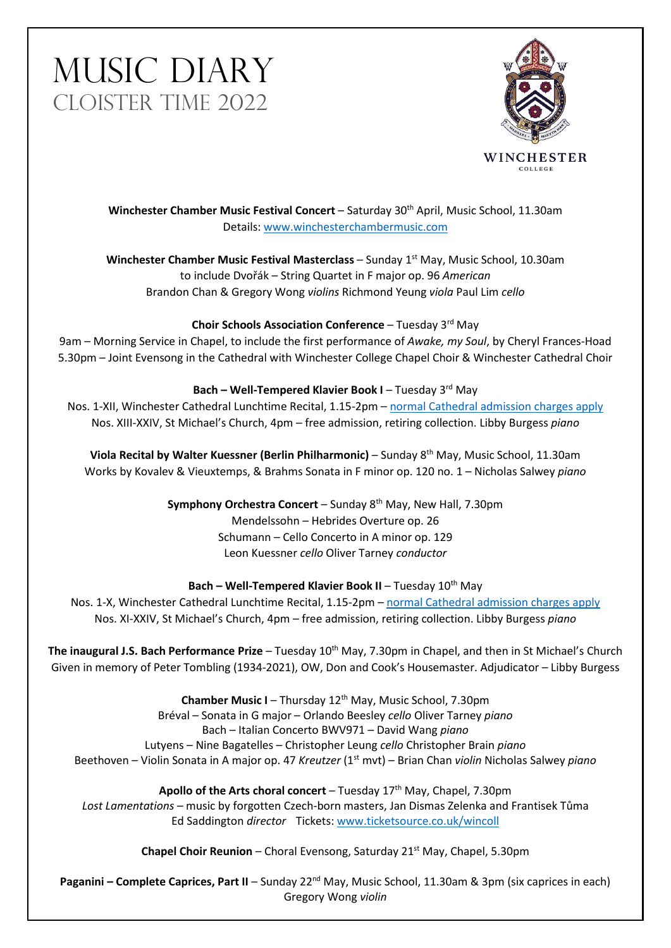# MUSIC DIARY CLOISTER TIME 2022



**Winchester Chamber Music Festival Concert** – Saturday 30th April, Music School, 11.30am Details: [www.winchesterchambermusic.com](http://www.winchesterchambermusic.com/)

**Winchester Chamber Music Festival Masterclass** – Sunday 1<sup>st</sup> May, Music School, 10.30am to include Dvořák – String Quartet in F major op. 96 *American* Brandon Chan & Gregory Wong *violins* Richmond Yeung *viola* Paul Lim *cello*

# **Choir Schools Association Conference** – Tuesday 3rd May

9am – Morning Service in Chapel, to include the first performance of *Awake, my Soul*, by Cheryl Frances-Hoad 5.30pm – Joint Evensong in the Cathedral with Winchester College Chapel Choir & Winchester Cathedral Choir

### **Bach – Well-Tempered Klavier Book I – Tuesday 3<sup>rd</sup> May**

Nos. 1-XII, Winchester Cathedral Lunchtime Recital, 1.15-2pm – [normal Cathedral admission](https://www.winchester-cathedral.org.uk/welcome/plan-your-visit/) charges apply Nos. XIII-XXIV, St Michael's Church, 4pm – free admission, retiring collection. Libby Burgess *piano*

**Viola Recital by Walter Kuessner (Berlin Philharmonic)** – Sunday 8th May, Music School, 11.30am Works by Kovalev & Vieuxtemps, & Brahms Sonata in F minor op. 120 no. 1 – Nicholas Salwey *piano*

> **Symphony Orchestra Concert** – Sunday 8<sup>th</sup> May, New Hall, 7.30pm Mendelssohn – Hebrides Overture op. 26 Schumann – Cello Concerto in A minor op. 129 Leon Kuessner *cello* Oliver Tarney *conductor*

# **Bach – Well-Tempered Klavier Book II – Tuesday 10<sup>th</sup> May**

Nos. 1-X, Winchester Cathedral Lunchtime Recital, 1.15-2pm – [normal Cathedral admission](https://www.winchester-cathedral.org.uk/welcome/plan-your-visit/) charges apply Nos. XI-XXIV, St Michael's Church, 4pm – free admission, retiring collection. Libby Burgess *piano*

**The inaugural J.S. Bach Performance Prize** – Tuesday 10th May, 7.30pm in Chapel, and then in St Michael's Church Given in memory of Peter Tombling (1934-2021), OW, Don and Cook's Housemaster. Adjudicator – Libby Burgess

**Chamber Music I** – Thursday 12th May, Music School, 7.30pm Bréval – Sonata in G major – Orlando Beesley *cello* Oliver Tarney *piano* Bach – Italian Concerto BWV971 – David Wang *piano* Lutyens – Nine Bagatelles – Christopher Leung *cello* Christopher Brain *piano* Beethoven – Violin Sonata in A major op. 47 *Kreutzer* (1st mvt) – Brian Chan *violin* Nicholas Salwey *piano*

Apollo of the Arts choral concert - Tuesday 17<sup>th</sup> May, Chapel, 7.30pm *Lost Lamentations* – music by forgotten Czech-born masters, Jan Dismas Zelenka and Frantisek Tůma Ed Saddington *director* Tickets: [www.ticketsource.co.uk/wincoll](http://www.ticketsource.co.uk/wincoll)

**Chapel Choir Reunion** – Choral Evensong, Saturday 21st May, Chapel, 5.30pm

**Paganini – Complete Caprices, Part II** – Sunday 22<sup>nd</sup> May, Music School, 11.30am & 3pm (six caprices in each) Gregory Wong *violin*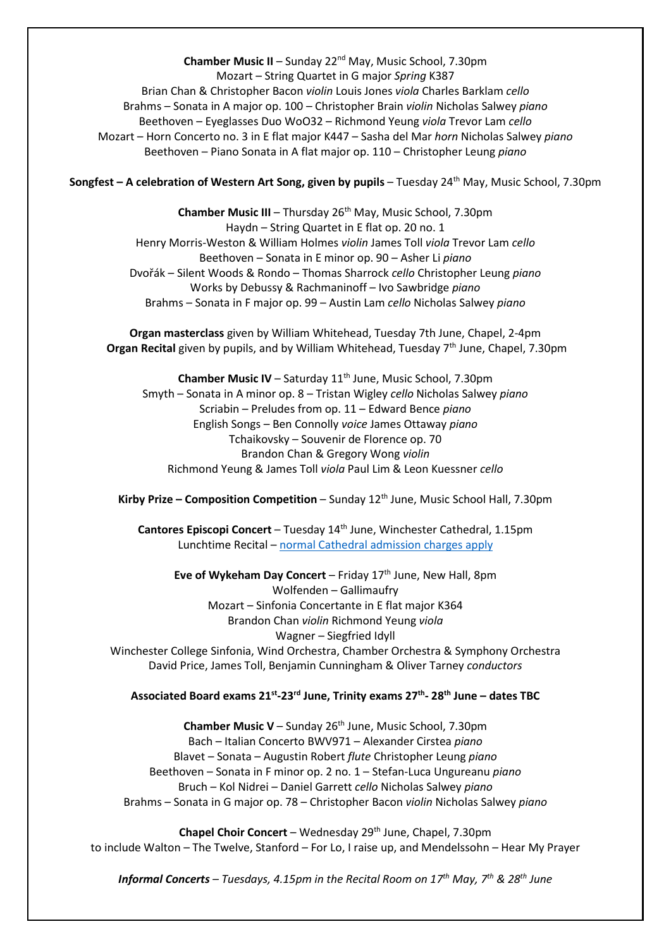**Chamber Music II** – Sunday 22nd May, Music School, 7.30pm Mozart – String Quartet in G major *Spring* K387 Brian Chan & Christopher Bacon *violin* Louis Jones *viola* Charles Barklam *cello* Brahms – Sonata in A major op. 100 – Christopher Brain *violin* Nicholas Salwey *piano* Beethoven – Eyeglasses Duo WoO32 – Richmond Yeung *viola* Trevor Lam *cello* Mozart – Horn Concerto no. 3 in E flat major K447 – Sasha del Mar *horn* Nicholas Salwey *piano* Beethoven – Piano Sonata in A flat major op. 110 – Christopher Leung *piano*

**Songfest – A celebration of Western Art Song, given by pupils – Tuesday 24<sup>th</sup> May, Music School, 7.30pm** 

**Chamber Music III** – Thursday 26<sup>th</sup> May, Music School, 7.30pm Haydn – String Quartet in E flat op. 20 no. 1 Henry Morris-Weston & William Holmes *violin* James Toll *viola* Trevor Lam *cello* Beethoven – Sonata in E minor op. 90 – Asher Li *piano* Dvořák – Silent Woods & Rondo – Thomas Sharrock *cello* Christopher Leung *piano* Works by Debussy & Rachmaninoff – Ivo Sawbridge *piano* Brahms – Sonata in F major op. 99 – Austin Lam *cello* Nicholas Salwey *piano*

**Organ masterclass** given by William Whitehead, Tuesday 7th June, Chapel, 2-4pm **Organ Recital** given by pupils, and by William Whitehead, Tuesday 7th June, Chapel, 7.30pm

**Chamber Music IV** – Saturday 11<sup>th</sup> June, Music School, 7.30pm Smyth – Sonata in A minor op. 8 – Tristan Wigley *cello* Nicholas Salwey *piano* Scriabin – Preludes from op. 11 – Edward Bence *piano* English Songs – Ben Connolly *voice* James Ottaway *piano* Tchaikovsky – Souvenir de Florence op. 70 Brandon Chan & Gregory Wong *violin* Richmond Yeung & James Toll *viola* Paul Lim & Leon Kuessner *cello*

Kirby Prize - Composition Competition - Sunday 12<sup>th</sup> June, Music School Hall, 7.30pm

**Cantores Episcopi Concert** – Tuesday 14th June, Winchester Cathedral, 1.15pm Lunchtime Recital – [normal Cathedral admission](https://www.winchester-cathedral.org.uk/welcome/plan-your-visit/) charges apply

**Eve of Wykeham Day Concert** – Friday 17<sup>th</sup> June, New Hall, 8pm Wolfenden – Gallimaufry Mozart – Sinfonia Concertante in E flat major K364 Brandon Chan *violin* Richmond Yeung *viola* Wagner – Siegfried Idyll Winchester College Sinfonia, Wind Orchestra, Chamber Orchestra & Symphony Orchestra David Price, James Toll, Benjamin Cunningham & Oliver Tarney *conductors*

#### **Associated Board exams 21st-23rd June, Trinity exams 27th- 28th June – dates TBC**

**Chamber Music V** – Sunday 26<sup>th</sup> June, Music School, 7.30pm Bach – Italian Concerto BWV971 – Alexander Cirstea *piano* Blavet – Sonata – Augustin Robert *flute* Christopher Leung *piano* Beethoven – Sonata in F minor op. 2 no. 1 – Stefan-Luca Ungureanu *piano* Bruch – Kol Nidrei – Daniel Garrett *cello* Nicholas Salwey *piano* Brahms – Sonata in G major op. 78 – Christopher Bacon *violin* Nicholas Salwey *piano*

**Chapel Choir Concert** – Wednesday 29<sup>th</sup> June, Chapel, 7.30pm to include Walton – The Twelve, Stanford – For Lo, I raise up, and Mendelssohn – Hear My Prayer

*Informal Concerts – Tuesdays, 4.15pm in the Recital Room on 17th May, 7th & 28th June*